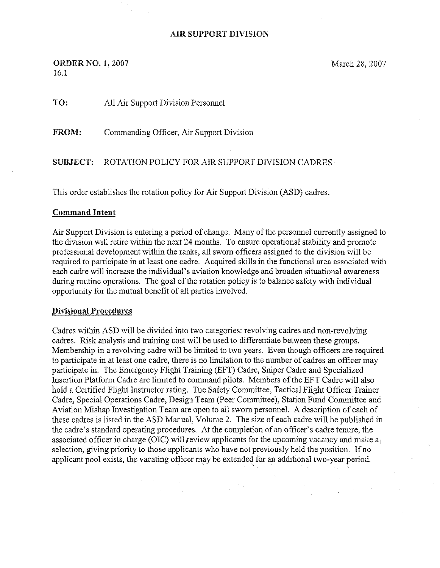## AIR SUPPORT DIVISION

**ORDER NO. 1, 2007** 16.1

March 28, 2007

TO: All Air Support Division Personnel

FROM: Commanding Officer, Air Support Division

SUBJECT: ROTATION POLICY FOR AIR SUPPORT DIVISION CADRES

This arder establishes the rotation policy for Air Support Division (ASD) cadres.

## Command Intent

Air Support Division is entering a period of change. Many of the personnel currently assigned to the division will retire within the next 24 months. To ensure operational stability and promote proFessional development within the ranks, all sworn officers assigned to the division will be required to participate in at least one cadre. Acquired skills in the functional area associated with each cadre will increase the individual's aviation knowledge and broaden situational awareness during routine operations. The goal of the rotation policy is to balance safety with individual opportunity for the mutual benefit of all parties involved.

## Divisional Procedures

Cadres within ASD will be divided into two categories: revolving cadres and non-revolving cadres. Risk analysis and training cost will be used to differentiate between these groups. Membership in a revolving cadre will be limited to two years. Even though officers are required to participate in at least one cadre, there is no limitation to the number of cadres an officer may participate in. The Emergency Flight Training (EFT) Cadre, Sniper Cadre and Specialized Insertion Platform Cadre are limited to command pilots. Members of the EFT Cadre will also hold a Certified Flight Instructor rating. The Safety Committee, Tactical Flight Officer Trainer Cadre, Special Operations Cadre, Design Team (Peer Committee), Station Fund Committee and Aviation Mishap Investigation Team are open to all sworn personnel. A description of each of these cadres is listed in the ASD Manual, Volume 2. The size of each cadre will be published in the cadre's standard operating procedures. At the completion of an officer's cadre tenure, the associated officer in charge (OIC) will review applicants for the upcoming vacancy and make  $a_1$ selection, giving priority to those applicants who have not previously held the position. If no applicant pool exists, the vacating officer maybe extended for an additional two-year period.

e de la composició de la composició de la composició de la composició de la composició de la composició de la<br>Espacial de la composició de la composició de la composició de la composició de la composició de la composició